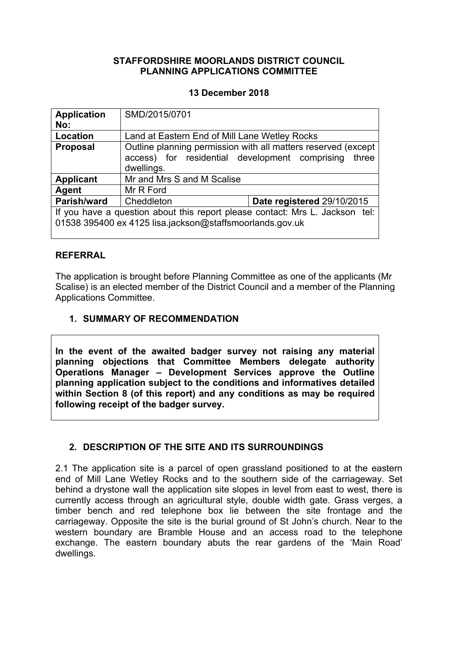### **STAFFORDSHIRE MOORLANDS DISTRICT COUNCIL PLANNING APPLICATIONS COMMITTEE**

### **13 December 2018**

| <b>Application</b>                                                           | SMD/2015/0701                                                 |                            |
|------------------------------------------------------------------------------|---------------------------------------------------------------|----------------------------|
| No:                                                                          |                                                               |                            |
| Location                                                                     | Land at Eastern End of Mill Lane Wetley Rocks                 |                            |
| <b>Proposal</b>                                                              | Outline planning permission with all matters reserved (except |                            |
|                                                                              | access) for residential development comprising                | three                      |
|                                                                              | dwellings.                                                    |                            |
| <b>Applicant</b>                                                             | Mr and Mrs S and M Scalise                                    |                            |
| Agent                                                                        | Mr R Ford                                                     |                            |
| <b>Parish/ward</b>                                                           | Cheddleton                                                    | Date registered 29/10/2015 |
| If you have a question about this report please contact: Mrs L. Jackson tel: |                                                               |                            |
| 01538 395400 ex 4125 lisa.jackson@staffsmoorlands.gov.uk                     |                                                               |                            |
|                                                                              |                                                               |                            |

### **REFERRAL**

The application is brought before Planning Committee as one of the applicants (Mr Scalise) is an elected member of the District Council and a member of the Planning Applications Committee.

# **1. SUMMARY OF RECOMMENDATION**

**In the event of the awaited badger survey not raising any material planning objections that Committee Members delegate authority Operations Manager – Development Services approve the Outline planning application subject to the conditions and informatives detailed within Section 8 (of this report) and any conditions as may be required following receipt of the badger survey.**

### **2. DESCRIPTION OF THE SITE AND ITS SURROUNDINGS**

2.1 The application site is a parcel of open grassland positioned to at the eastern end of Mill Lane Wetley Rocks and to the southern side of the carriageway. Set behind a drystone wall the application site slopes in level from east to west, there is currently access through an agricultural style, double width gate. Grass verges, a timber bench and red telephone box lie between the site frontage and the carriageway. Opposite the site is the burial ground of St John's church. Near to the western boundary are Bramble House and an access road to the telephone exchange. The eastern boundary abuts the rear gardens of the 'Main Road' dwellings.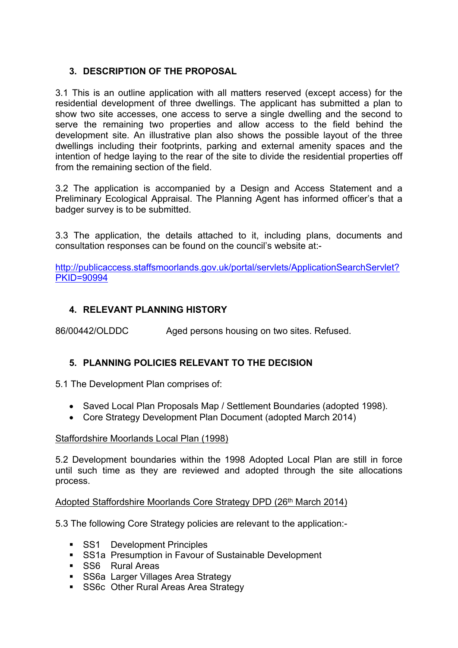# **3. DESCRIPTION OF THE PROPOSAL**

3.1 This is an outline application with all matters reserved (except access) for the residential development of three dwellings. The applicant has submitted a plan to show two site accesses, one access to serve a single dwelling and the second to serve the remaining two properties and allow access to the field behind the development site. An illustrative plan also shows the possible layout of the three dwellings including their footprints, parking and external amenity spaces and the intention of hedge laying to the rear of the site to divide the residential properties off from the remaining section of the field.

3.2 The application is accompanied by a Design and Access Statement and a Preliminary Ecological Appraisal. The Planning Agent has informed officer's that a badger survey is to be submitted.

3.3 The application, the details attached to it, including plans, documents and consultation responses can be found on the council's website at:-

[http://publicaccess.staffsmoorlands.gov.uk/portal/servlets/ApplicationSearchServlet?](http://publicaccess.staffsmoorlands.gov.uk/portal/servlets/ApplicationSearchServlet?PKID=90994) [PKID=90994](http://publicaccess.staffsmoorlands.gov.uk/portal/servlets/ApplicationSearchServlet?PKID=90994)

# **4. RELEVANT PLANNING HISTORY**

86/00442/OLDDC Aged persons housing on two sites. Refused.

# **5. PLANNING POLICIES RELEVANT TO THE DECISION**

5.1 The Development Plan comprises of:

- Saved Local Plan Proposals Map / Settlement Boundaries (adopted 1998).
- Core Strategy Development Plan Document (adopted March 2014)

### Staffordshire Moorlands Local Plan (1998)

5.2 Development boundaries within the 1998 Adopted Local Plan are still in force until such time as they are reviewed and adopted through the site allocations process.

### Adopted Staffordshire Moorlands Core Strategy DPD (26<sup>th</sup> March 2014)

5.3 The following Core Strategy policies are relevant to the application:-

- **SS1** Development Principles
- **SS1a Presumption in Favour of Sustainable Development**
- **SS6** Rural Areas
- **SS6a Larger Villages Area Strategy**
- **SS6c Other Rural Areas Area Strategy**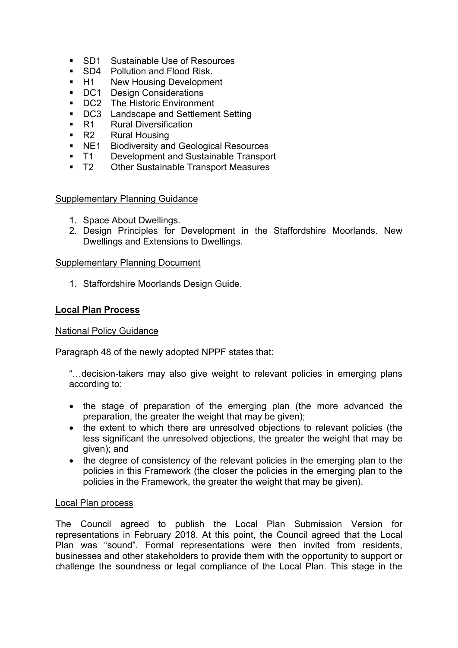- SD1 Sustainable Use of Resources
- SD4 Pollution and Flood Risk.
- **H1** New Housing Development
- DC1 Design Considerations
- **DC2** The Historic Environment
- **DC3** Landscape and Settlement Setting
- R1 Rural Diversification
- R2 Rural Housing
- NE1 Biodiversity and Geological Resources
- T1 Development and Sustainable Transport
- T2 Other Sustainable Transport Measures

### Supplementary Planning Guidance

- 1. Space About Dwellings.
- 2. Design Principles for Development in the Staffordshire Moorlands. New Dwellings and Extensions to Dwellings.

### Supplementary Planning Document

1. Staffordshire Moorlands Design Guide.

### **Local Plan Process**

### National Policy Guidance

Paragraph 48 of the newly adopted NPPF states that:

"…decision-takers may also give weight to relevant policies in emerging plans according to:

- the stage of preparation of the emerging plan (the more advanced the preparation, the greater the weight that may be given);
- the extent to which there are unresolved objections to relevant policies (the less significant the unresolved objections, the greater the weight that may be given); and
- the degree of consistency of the relevant policies in the emerging plan to the policies in this Framework (the closer the policies in the emerging plan to the policies in the Framework, the greater the weight that may be given).

### Local Plan process

The Council agreed to publish the Local Plan Submission Version for representations in February 2018. At this point, the Council agreed that the Local Plan was "sound". Formal representations were then invited from residents, businesses and other stakeholders to provide them with the opportunity to support or challenge the soundness or legal compliance of the Local Plan. This stage in the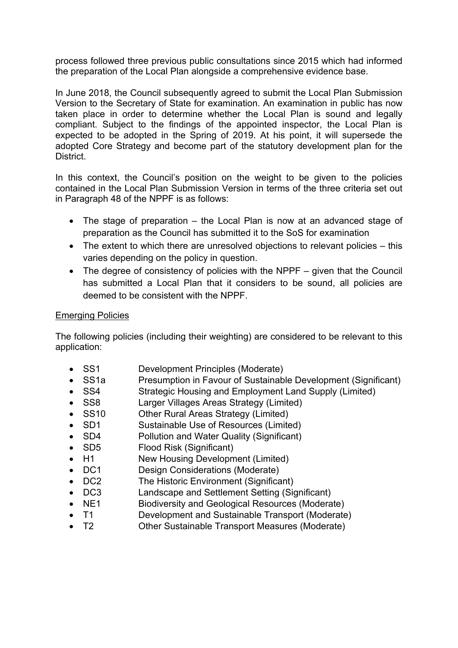process followed three previous public consultations since 2015 which had informed the preparation of the Local Plan alongside a comprehensive evidence base.

In June 2018, the Council subsequently agreed to submit the Local Plan Submission Version to the Secretary of State for examination. An examination in public has now taken place in order to determine whether the Local Plan is sound and legally compliant. Subject to the findings of the appointed inspector, the Local Plan is expected to be adopted in the Spring of 2019. At his point, it will supersede the adopted Core Strategy and become part of the statutory development plan for the District.

In this context, the Council's position on the weight to be given to the policies contained in the Local Plan Submission Version in terms of the three criteria set out in Paragraph 48 of the NPPF is as follows:

- The stage of preparation the Local Plan is now at an advanced stage of preparation as the Council has submitted it to the SoS for examination
- The extent to which there are unresolved objections to relevant policies this varies depending on the policy in question.
- The degree of consistency of policies with the NPPF given that the Council has submitted a Local Plan that it considers to be sound, all policies are deemed to be consistent with the NPPF.

### Emerging Policies

The following policies (including their weighting) are considered to be relevant to this application:

- SS1 Development Principles (Moderate)
- SS1a Presumption in Favour of Sustainable Development (Significant)
- SS4 Strategic Housing and Employment Land Supply (Limited)
- SS8 Larger Villages Areas Strategy (Limited)
- SS10 Other Rural Areas Strategy (Limited)
- SD1 Sustainable Use of Resources (Limited)
- SD4 Pollution and Water Quality (Significant)
- SD5 Flood Risk (Significant)
- H1 New Housing Development (Limited)
- DC1 Design Considerations (Moderate)
- DC2 The Historic Environment (Significant)
- DC3 Landscape and Settlement Setting (Significant)
- NE1 Biodiversity and Geological Resources (Moderate)
- T1 Development and Sustainable Transport (Moderate)
- T2 Other Sustainable Transport Measures (Moderate)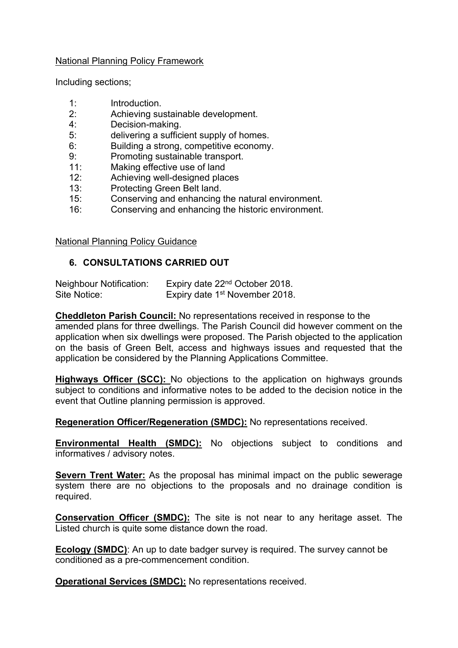### National Planning Policy Framework

Including sections;

- 1: Introduction.
- 2: Achieving sustainable development.
- 4: Decision-making.
- 5: delivering a sufficient supply of homes.
- 6: Building a strong, competitive economy.
- 9: Promoting sustainable transport.
- 11: Making effective use of land
- 12: Achieving well-designed places
- 13: Protecting Green Belt land.<br>15: Conserving and enhancing
- Conserving and enhancing the natural environment.
- 16: Conserving and enhancing the historic environment.

National Planning Policy Guidance

### **6. CONSULTATIONS CARRIED OUT**

| <b>Neighbour Notification:</b> | Expiry date 22 <sup>nd</sup> October 2018. |
|--------------------------------|--------------------------------------------|
| Site Notice:                   | Expiry date 1 <sup>st</sup> November 2018. |

**Cheddleton Parish Council:** No representations received in response to the amended plans for three dwellings. The Parish Council did however comment on the application when six dwellings were proposed. The Parish objected to the application on the basis of Green Belt, access and highways issues and requested that the application be considered by the Planning Applications Committee.

**Highways Officer (SCC):** No objections to the application on highways grounds subject to conditions and informative notes to be added to the decision notice in the event that Outline planning permission is approved.

**Regeneration Officer/Regeneration (SMDC):** No representations received.

**Environmental Health (SMDC):** No objections subject to conditions and informatives / advisory notes.

**Severn Trent Water:** As the proposal has minimal impact on the public sewerage system there are no objections to the proposals and no drainage condition is required.

**Conservation Officer (SMDC):** The site is not near to any heritage asset. The Listed church is quite some distance down the road.

**Ecology (SMDC)**: An up to date badger survey is required. The survey cannot be conditioned as a pre-commencement condition.

**Operational Services (SMDC):** No representations received.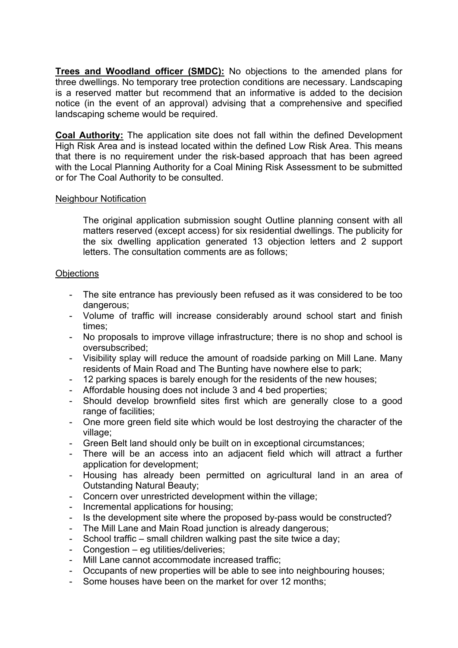**Trees and Woodland officer (SMDC):** No objections to the amended plans for three dwellings. No temporary tree protection conditions are necessary. Landscaping is a reserved matter but recommend that an informative is added to the decision notice (in the event of an approval) advising that a comprehensive and specified landscaping scheme would be required.

**Coal Authority:** The application site does not fall within the defined Development High Risk Area and is instead located within the defined Low Risk Area. This means that there is no requirement under the risk-based approach that has been agreed with the Local Planning Authority for a Coal Mining Risk Assessment to be submitted or for The Coal Authority to be consulted.

### Neighbour Notification

The original application submission sought Outline planning consent with all matters reserved (except access) for six residential dwellings. The publicity for the six dwelling application generated 13 objection letters and 2 support letters. The consultation comments are as follows;

#### **Objections**

- The site entrance has previously been refused as it was considered to be too dangerous:
- Volume of traffic will increase considerably around school start and finish times;
- No proposals to improve village infrastructure; there is no shop and school is oversubscribed;
- Visibility splay will reduce the amount of roadside parking on Mill Lane. Many residents of Main Road and The Bunting have nowhere else to park;
- 12 parking spaces is barely enough for the residents of the new houses;
- Affordable housing does not include 3 and 4 bed properties;
- Should develop brownfield sites first which are generally close to a good range of facilities:
- One more green field site which would be lost destroying the character of the village;
- Green Belt land should only be built on in exceptional circumstances;
- There will be an access into an adjacent field which will attract a further application for development;
- Housing has already been permitted on agricultural land in an area of Outstanding Natural Beauty;
- Concern over unrestricted development within the village;
- Incremental applications for housing;
- Is the development site where the proposed by-pass would be constructed?
- The Mill Lane and Main Road junction is already dangerous;
- School traffic small children walking past the site twice a day;
- Congestion eg utilities/deliveries;
- Mill Lane cannot accommodate increased traffic;
- Occupants of new properties will be able to see into neighbouring houses;
- Some houses have been on the market for over 12 months: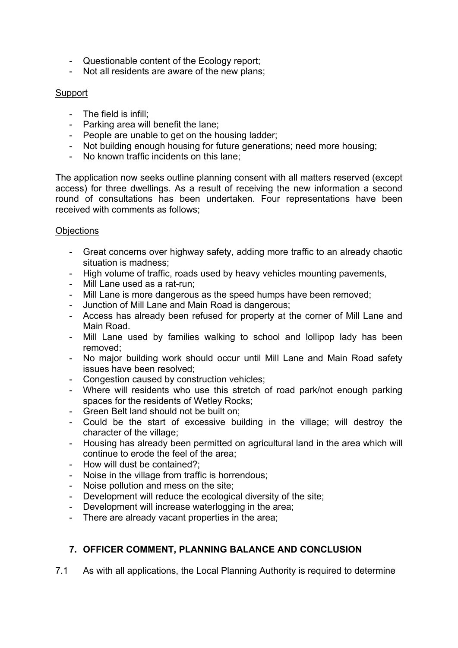- Questionable content of the Ecology report;
- Not all residents are aware of the new plans;

# **Support**

- The field is infill;
- Parking area will benefit the lane;
- People are unable to get on the housing ladder;
- Not building enough housing for future generations; need more housing;
- No known traffic incidents on this lane;

The application now seeks outline planning consent with all matters reserved (except access) for three dwellings. As a result of receiving the new information a second round of consultations has been undertaken. Four representations have been received with comments as follows;

### **Objections**

- Great concerns over highway safety, adding more traffic to an already chaotic situation is madness;
- High volume of traffic, roads used by heavy vehicles mounting pavements,
- Mill Lane used as a rat-run;
- Mill Lane is more dangerous as the speed humps have been removed;
- Junction of Mill Lane and Main Road is dangerous;
- Access has already been refused for property at the corner of Mill Lane and Main Road.
- Mill Lane used by families walking to school and lollipop lady has been removed;
- No major building work should occur until Mill Lane and Main Road safety issues have been resolved;
- Congestion caused by construction vehicles;
- Where will residents who use this stretch of road park/not enough parking spaces for the residents of Wetley Rocks;
- Green Belt land should not be built on;
- Could be the start of excessive building in the village; will destroy the character of the village;
- Housing has already been permitted on agricultural land in the area which will continue to erode the feel of the area;
- How will dust be contained?;
- Noise in the village from traffic is horrendous;
- Noise pollution and mess on the site;
- Development will reduce the ecological diversity of the site;
- Development will increase waterlogging in the area;
- There are already vacant properties in the area;

# **7. OFFICER COMMENT, PLANNING BALANCE AND CONCLUSION**

7.1 As with all applications, the Local Planning Authority is required to determine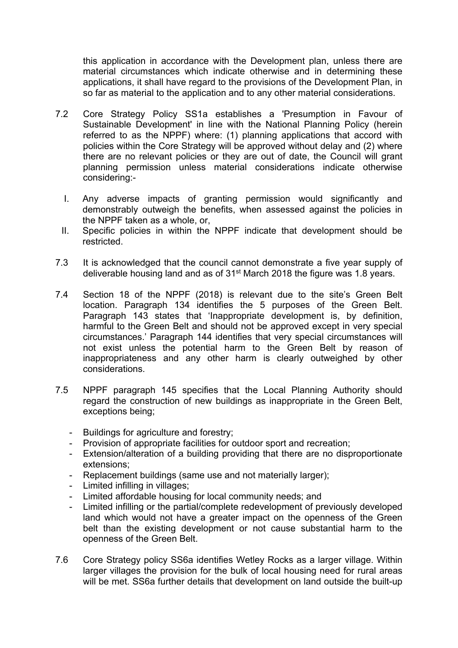this application in accordance with the Development plan, unless there are material circumstances which indicate otherwise and in determining these applications, it shall have regard to the provisions of the Development Plan, in so far as material to the application and to any other material considerations.

- 7.2 Core Strategy Policy SS1a establishes a 'Presumption in Favour of Sustainable Development' in line with the National Planning Policy (herein referred to as the NPPF) where: (1) planning applications that accord with policies within the Core Strategy will be approved without delay and (2) where there are no relevant policies or they are out of date, the Council will grant planning permission unless material considerations indicate otherwise considering:-
	- I. Any adverse impacts of granting permission would significantly and demonstrably outweigh the benefits, when assessed against the policies in the NPPF taken as a whole, or,
	- II. Specific policies in within the NPPF indicate that development should be restricted.
- 7.3 It is acknowledged that the council cannot demonstrate a five year supply of deliverable housing land and as of 31st March 2018 the figure was 1.8 years.
- 7.4 Section 18 of the NPPF (2018) is relevant due to the site's Green Belt location. Paragraph 134 identifies the 5 purposes of the Green Belt. Paragraph 143 states that 'Inappropriate development is, by definition, harmful to the Green Belt and should not be approved except in very special circumstances.' Paragraph 144 identifies that very special circumstances will not exist unless the potential harm to the Green Belt by reason of inappropriateness and any other harm is clearly outweighed by other considerations.
- 7.5 NPPF paragraph 145 specifies that the Local Planning Authority should regard the construction of new buildings as inappropriate in the Green Belt, exceptions being;
	- Buildings for agriculture and forestry;
	- Provision of appropriate facilities for outdoor sport and recreation;
	- Extension/alteration of a building providing that there are no disproportionate extensions;
	- Replacement buildings (same use and not materially larger);
	- Limited infilling in villages;
	- Limited affordable housing for local community needs; and
	- Limited infilling or the partial/complete redevelopment of previously developed land which would not have a greater impact on the openness of the Green belt than the existing development or not cause substantial harm to the openness of the Green Belt.
- 7.6 Core Strategy policy SS6a identifies Wetley Rocks as a larger village. Within larger villages the provision for the bulk of local housing need for rural areas will be met. SS6a further details that development on land outside the built-up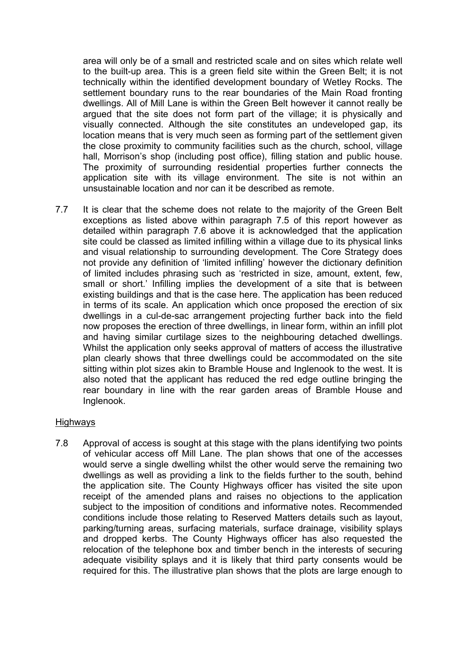area will only be of a small and restricted scale and on sites which relate well to the built-up area. This is a green field site within the Green Belt; it is not technically within the identified development boundary of Wetley Rocks. The settlement boundary runs to the rear boundaries of the Main Road fronting dwellings. All of Mill Lane is within the Green Belt however it cannot really be argued that the site does not form part of the village; it is physically and visually connected. Although the site constitutes an undeveloped gap, its location means that is very much seen as forming part of the settlement given the close proximity to community facilities such as the church, school, village hall, Morrison's shop (including post office), filling station and public house. The proximity of surrounding residential properties further connects the application site with its village environment. The site is not within an unsustainable location and nor can it be described as remote.

7.7 It is clear that the scheme does not relate to the majority of the Green Belt exceptions as listed above within paragraph 7.5 of this report however as detailed within paragraph 7.6 above it is acknowledged that the application site could be classed as limited infilling within a village due to its physical links and visual relationship to surrounding development. The Core Strategy does not provide any definition of 'limited infilling' however the dictionary definition of limited includes phrasing such as 'restricted in size, amount, extent, few, small or short.' Infilling implies the development of a site that is between existing buildings and that is the case here. The application has been reduced in terms of its scale. An application which once proposed the erection of six dwellings in a cul-de-sac arrangement projecting further back into the field now proposes the erection of three dwellings, in linear form, within an infill plot and having similar curtilage sizes to the neighbouring detached dwellings. Whilst the application only seeks approval of matters of access the illustrative plan clearly shows that three dwellings could be accommodated on the site sitting within plot sizes akin to Bramble House and Inglenook to the west. It is also noted that the applicant has reduced the red edge outline bringing the rear boundary in line with the rear garden areas of Bramble House and Inglenook.

### Highways

7.8 Approval of access is sought at this stage with the plans identifying two points of vehicular access off Mill Lane. The plan shows that one of the accesses would serve a single dwelling whilst the other would serve the remaining two dwellings as well as providing a link to the fields further to the south, behind the application site. The County Highways officer has visited the site upon receipt of the amended plans and raises no objections to the application subject to the imposition of conditions and informative notes. Recommended conditions include those relating to Reserved Matters details such as layout, parking/turning areas, surfacing materials, surface drainage, visibility splays and dropped kerbs. The County Highways officer has also requested the relocation of the telephone box and timber bench in the interests of securing adequate visibility splays and it is likely that third party consents would be required for this. The illustrative plan shows that the plots are large enough to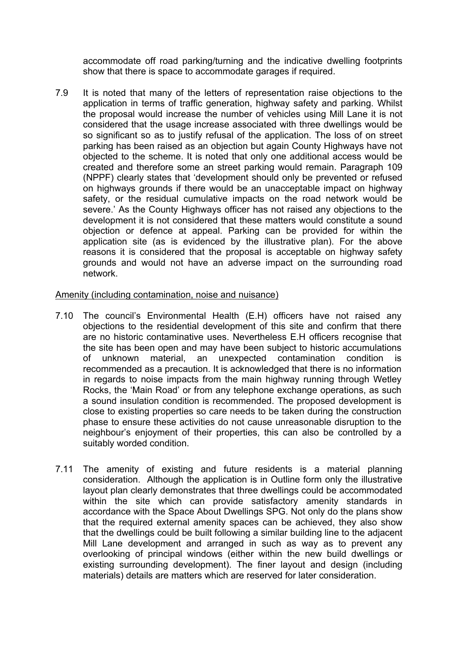accommodate off road parking/turning and the indicative dwelling footprints show that there is space to accommodate garages if required.

7.9 It is noted that many of the letters of representation raise objections to the application in terms of traffic generation, highway safety and parking. Whilst the proposal would increase the number of vehicles using Mill Lane it is not considered that the usage increase associated with three dwellings would be so significant so as to justify refusal of the application. The loss of on street parking has been raised as an objection but again County Highways have not objected to the scheme. It is noted that only one additional access would be created and therefore some an street parking would remain. Paragraph 109 (NPPF) clearly states that 'development should only be prevented or refused on highways grounds if there would be an unacceptable impact on highway safety, or the residual cumulative impacts on the road network would be severe.' As the County Highways officer has not raised any objections to the development it is not considered that these matters would constitute a sound objection or defence at appeal. Parking can be provided for within the application site (as is evidenced by the illustrative plan). For the above reasons it is considered that the proposal is acceptable on highway safety grounds and would not have an adverse impact on the surrounding road network.

### Amenity (including contamination, noise and nuisance)

- 7.10 The council's Environmental Health (E.H) officers have not raised any objections to the residential development of this site and confirm that there are no historic contaminative uses. Nevertheless E.H officers recognise that the site has been open and may have been subject to historic accumulations of unknown material, an unexpected contamination condition is recommended as a precaution. It is acknowledged that there is no information in regards to noise impacts from the main highway running through Wetley Rocks, the 'Main Road' or from any telephone exchange operations, as such a sound insulation condition is recommended. The proposed development is close to existing properties so care needs to be taken during the construction phase to ensure these activities do not cause unreasonable disruption to the neighbour's enjoyment of their properties, this can also be controlled by a suitably worded condition.
- 7.11 The amenity of existing and future residents is a material planning consideration. Although the application is in Outline form only the illustrative layout plan clearly demonstrates that three dwellings could be accommodated within the site which can provide satisfactory amenity standards in accordance with the Space About Dwellings SPG. Not only do the plans show that the required external amenity spaces can be achieved, they also show that the dwellings could be built following a similar building line to the adjacent Mill Lane development and arranged in such as way as to prevent any overlooking of principal windows (either within the new build dwellings or existing surrounding development). The finer layout and design (including materials) details are matters which are reserved for later consideration.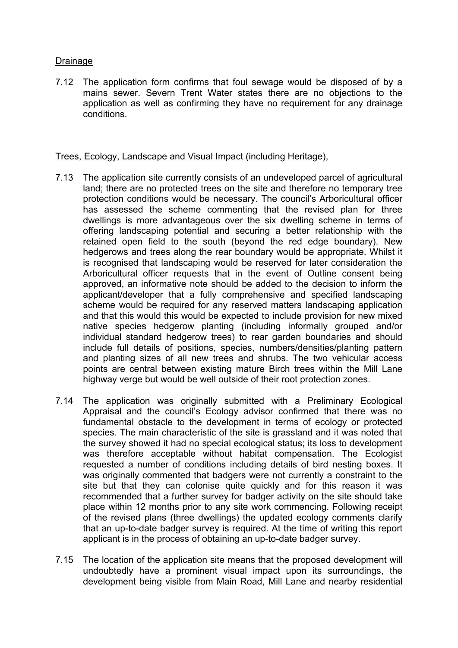## Drainage

7.12 The application form confirms that foul sewage would be disposed of by a mains sewer. Severn Trent Water states there are no objections to the application as well as confirming they have no requirement for any drainage conditions.

### Trees, Ecology, Landscape and Visual Impact (including Heritage),

- 7.13 The application site currently consists of an undeveloped parcel of agricultural land; there are no protected trees on the site and therefore no temporary tree protection conditions would be necessary. The council's Arboricultural officer has assessed the scheme commenting that the revised plan for three dwellings is more advantageous over the six dwelling scheme in terms of offering landscaping potential and securing a better relationship with the retained open field to the south (beyond the red edge boundary). New hedgerows and trees along the rear boundary would be appropriate. Whilst it is recognised that landscaping would be reserved for later consideration the Arboricultural officer requests that in the event of Outline consent being approved, an informative note should be added to the decision to inform the applicant/developer that a fully comprehensive and specified landscaping scheme would be required for any reserved matters landscaping application and that this would this would be expected to include provision for new mixed native species hedgerow planting (including informally grouped and/or individual standard hedgerow trees) to rear garden boundaries and should include full details of positions, species, numbers/densities/planting pattern and planting sizes of all new trees and shrubs. The two vehicular access points are central between existing mature Birch trees within the Mill Lane highway verge but would be well outside of their root protection zones.
- 7.14 The application was originally submitted with a Preliminary Ecological Appraisal and the council's Ecology advisor confirmed that there was no fundamental obstacle to the development in terms of ecology or protected species. The main characteristic of the site is grassland and it was noted that the survey showed it had no special ecological status; its loss to development was therefore acceptable without habitat compensation. The Ecologist requested a number of conditions including details of bird nesting boxes. It was originally commented that badgers were not currently a constraint to the site but that they can colonise quite quickly and for this reason it was recommended that a further survey for badger activity on the site should take place within 12 months prior to any site work commencing. Following receipt of the revised plans (three dwellings) the updated ecology comments clarify that an up-to-date badger survey is required. At the time of writing this report applicant is in the process of obtaining an up-to-date badger survey.
- 7.15 The location of the application site means that the proposed development will undoubtedly have a prominent visual impact upon its surroundings, the development being visible from Main Road, Mill Lane and nearby residential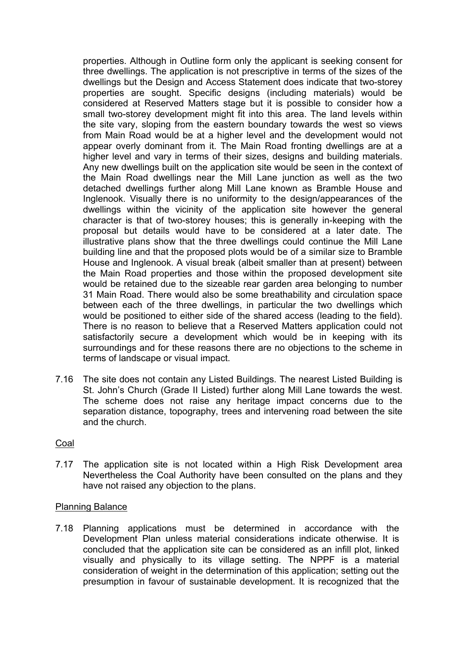properties. Although in Outline form only the applicant is seeking consent for three dwellings. The application is not prescriptive in terms of the sizes of the dwellings but the Design and Access Statement does indicate that two-storey properties are sought. Specific designs (including materials) would be considered at Reserved Matters stage but it is possible to consider how a small two-storey development might fit into this area. The land levels within the site vary, sloping from the eastern boundary towards the west so views from Main Road would be at a higher level and the development would not appear overly dominant from it. The Main Road fronting dwellings are at a higher level and vary in terms of their sizes, designs and building materials. Any new dwellings built on the application site would be seen in the context of the Main Road dwellings near the Mill Lane junction as well as the two detached dwellings further along Mill Lane known as Bramble House and Inglenook. Visually there is no uniformity to the design/appearances of the dwellings within the vicinity of the application site however the general character is that of two-storey houses; this is generally in-keeping with the proposal but details would have to be considered at a later date. The illustrative plans show that the three dwellings could continue the Mill Lane building line and that the proposed plots would be of a similar size to Bramble House and Inglenook. A visual break (albeit smaller than at present) between the Main Road properties and those within the proposed development site would be retained due to the sizeable rear garden area belonging to number 31 Main Road. There would also be some breathability and circulation space between each of the three dwellings, in particular the two dwellings which would be positioned to either side of the shared access (leading to the field). There is no reason to believe that a Reserved Matters application could not satisfactorily secure a development which would be in keeping with its surroundings and for these reasons there are no objections to the scheme in terms of landscape or visual impact.

7.16 The site does not contain any Listed Buildings. The nearest Listed Building is St. John's Church (Grade II Listed) further along Mill Lane towards the west. The scheme does not raise any heritage impact concerns due to the separation distance, topography, trees and intervening road between the site and the church.

### Coal

7.17 The application site is not located within a High Risk Development area Nevertheless the Coal Authority have been consulted on the plans and they have not raised any objection to the plans.

### Planning Balance

7.18 Planning applications must be determined in accordance with the Development Plan unless material considerations indicate otherwise. It is concluded that the application site can be considered as an infill plot, linked visually and physically to its village setting. The NPPF is a material consideration of weight in the determination of this application; setting out the presumption in favour of sustainable development. It is recognized that the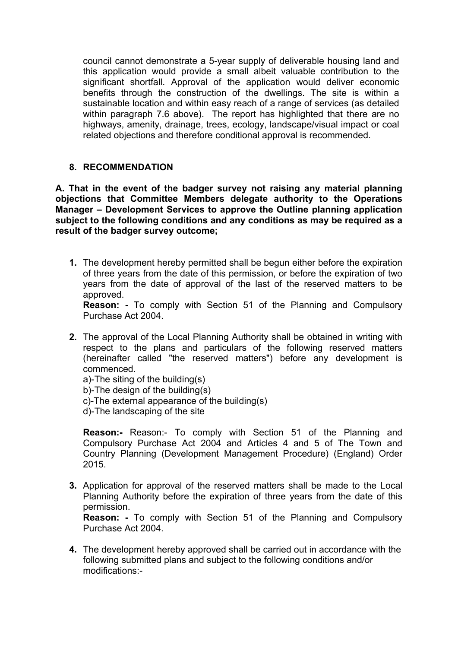council cannot demonstrate a 5-year supply of deliverable housing land and this application would provide a small albeit valuable contribution to the significant shortfall. Approval of the application would deliver economic benefits through the construction of the dwellings. The site is within a sustainable location and within easy reach of a range of services (as detailed within paragraph 7.6 above). The report has highlighted that there are no highways, amenity, drainage, trees, ecology, landscape/visual impact or coal related objections and therefore conditional approval is recommended.

# **8. RECOMMENDATION**

**A. That in the event of the badger survey not raising any material planning objections that Committee Members delegate authority to the Operations Manager – Development Services to approve the Outline planning application subject to the following conditions and any conditions as may be required as a result of the badger survey outcome;**

**1.** The development hereby permitted shall be begun either before the expiration of three years from the date of this permission, or before the expiration of two years from the date of approval of the last of the reserved matters to be approved.

**Reason: -** To comply with Section 51 of the Planning and Compulsory Purchase Act 2004.

**2.** The approval of the Local Planning Authority shall be obtained in writing with respect to the plans and particulars of the following reserved matters (hereinafter called "the reserved matters") before any development is commenced.

a)-The siting of the building(s) b)-The design of the building(s) c)-The external appearance of the building(s) d)-The landscaping of the site

**Reason:-** Reason:- To comply with Section 51 of the Planning and Compulsory Purchase Act 2004 and Articles 4 and 5 of The Town and Country Planning (Development Management Procedure) (England) Order 2015.

**3.** Application for approval of the reserved matters shall be made to the Local Planning Authority before the expiration of three years from the date of this permission.

**Reason: -** To comply with Section 51 of the Planning and Compulsory Purchase Act 2004.

**4.** The development hereby approved shall be carried out in accordance with the following submitted plans and subject to the following conditions and/or modifications:-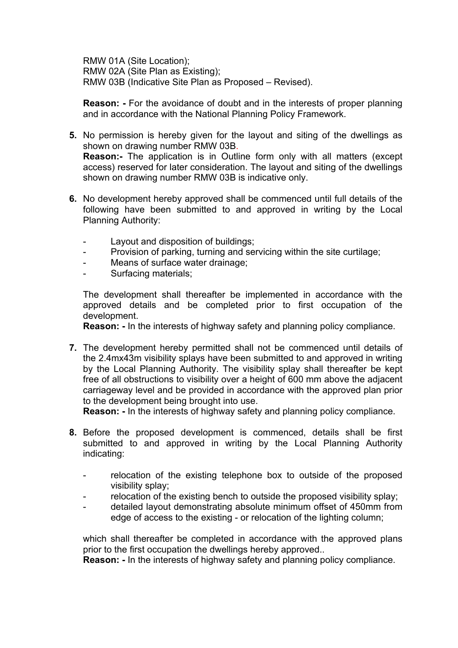RMW 01A (Site Location); RMW 02A (Site Plan as Existing); RMW 03B (Indicative Site Plan as Proposed – Revised).

**Reason: -** For the avoidance of doubt and in the interests of proper planning and in accordance with the National Planning Policy Framework.

- **5.** No permission is hereby given for the layout and siting of the dwellings as shown on drawing number RMW 03B. **Reason:-** The application is in Outline form only with all matters (except access) reserved for later consideration. The layout and siting of the dwellings shown on drawing number RMW 03B is indicative only.
- **6.** No development hereby approved shall be commenced until full details of the following have been submitted to and approved in writing by the Local Planning Authority:
	- Layout and disposition of buildings:
	- Provision of parking, turning and servicing within the site curtilage;
	- Means of surface water drainage;
	- Surfacing materials;

The development shall thereafter be implemented in accordance with the approved details and be completed prior to first occupation of the development.

**Reason: -** In the interests of highway safety and planning policy compliance.

**7.** The development hereby permitted shall not be commenced until details of the 2.4mx43m visibility splays have been submitted to and approved in writing by the Local Planning Authority. The visibility splay shall thereafter be kept free of all obstructions to visibility over a height of 600 mm above the adjacent carriageway level and be provided in accordance with the approved plan prior to the development being brought into use.

**Reason: -** In the interests of highway safety and planning policy compliance.

- **8.** Before the proposed development is commenced, details shall be first submitted to and approved in writing by the Local Planning Authority indicating:
	- relocation of the existing telephone box to outside of the proposed visibility splay;
	- relocation of the existing bench to outside the proposed visibility splay;
	- detailed layout demonstrating absolute minimum offset of 450mm from edge of access to the existing - or relocation of the lighting column;

which shall thereafter be completed in accordance with the approved plans prior to the first occupation the dwellings hereby approved..

**Reason: -** In the interests of highway safety and planning policy compliance.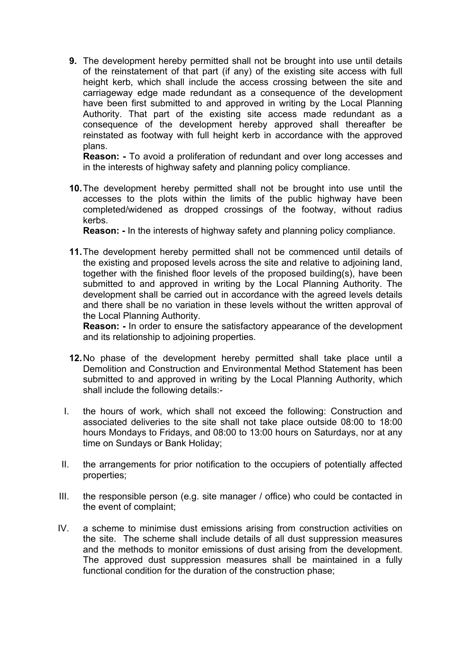**9.** The development hereby permitted shall not be brought into use until details of the reinstatement of that part (if any) of the existing site access with full height kerb, which shall include the access crossing between the site and carriageway edge made redundant as a consequence of the development have been first submitted to and approved in writing by the Local Planning Authority. That part of the existing site access made redundant as a consequence of the development hereby approved shall thereafter be reinstated as footway with full height kerb in accordance with the approved plans.

**Reason: -** To avoid a proliferation of redundant and over long accesses and in the interests of highway safety and planning policy compliance.

**10.**The development hereby permitted shall not be brought into use until the accesses to the plots within the limits of the public highway have been completed/widened as dropped crossings of the footway, without radius kerbs.

**Reason: -** In the interests of highway safety and planning policy compliance.

**11.**The development hereby permitted shall not be commenced until details of the existing and proposed levels across the site and relative to adjoining land, together with the finished floor levels of the proposed building(s), have been submitted to and approved in writing by the Local Planning Authority. The development shall be carried out in accordance with the agreed levels details and there shall be no variation in these levels without the written approval of the Local Planning Authority.

**Reason: -** In order to ensure the satisfactory appearance of the development and its relationship to adjoining properties.

- **12.**No phase of the development hereby permitted shall take place until a Demolition and Construction and Environmental Method Statement has been submitted to and approved in writing by the Local Planning Authority, which shall include the following details:-
- I. the hours of work, which shall not exceed the following: Construction and associated deliveries to the site shall not take place outside 08:00 to 18:00 hours Mondays to Fridays, and 08:00 to 13:00 hours on Saturdays, nor at any time on Sundays or Bank Holiday;
- II. the arrangements for prior notification to the occupiers of potentially affected properties;
- III. the responsible person (e.g. site manager / office) who could be contacted in the event of complaint;
- IV. a scheme to minimise dust emissions arising from construction activities on the site. The scheme shall include details of all dust suppression measures and the methods to monitor emissions of dust arising from the development. The approved dust suppression measures shall be maintained in a fully functional condition for the duration of the construction phase;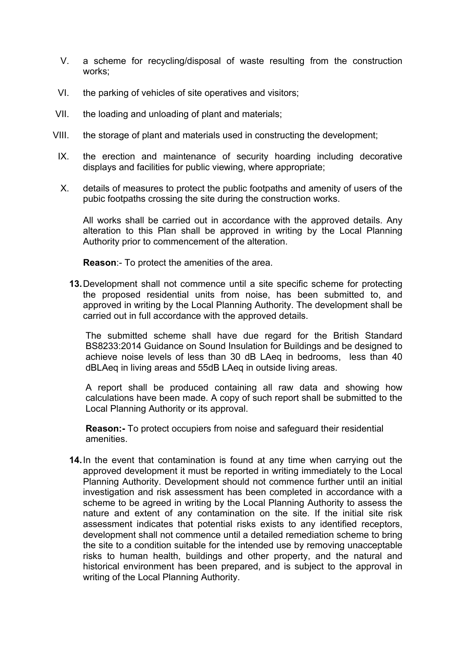- V. a scheme for recycling/disposal of waste resulting from the construction works;
- VI. the parking of vehicles of site operatives and visitors;
- VII. the loading and unloading of plant and materials;
- VIII. the storage of plant and materials used in constructing the development;
- IX. the erection and maintenance of security hoarding including decorative displays and facilities for public viewing, where appropriate;
- X. details of measures to protect the public footpaths and amenity of users of the pubic footpaths crossing the site during the construction works.

All works shall be carried out in accordance with the approved details. Any alteration to this Plan shall be approved in writing by the Local Planning Authority prior to commencement of the alteration.

**Reason**:- To protect the amenities of the area.

**13.**Development shall not commence until a site specific scheme for protecting the proposed residential units from noise, has been submitted to, and approved in writing by the Local Planning Authority. The development shall be carried out in full accordance with the approved details.

The submitted scheme shall have due regard for the British Standard BS8233:2014 Guidance on Sound Insulation for Buildings and be designed to achieve noise levels of less than 30 dB LAeq in bedrooms, less than 40 dBLAeq in living areas and 55dB LAeq in outside living areas.

A report shall be produced containing all raw data and showing how calculations have been made. A copy of such report shall be submitted to the Local Planning Authority or its approval.

**Reason:-** To protect occupiers from noise and safeguard their residential amenities.

**14.**In the event that contamination is found at any time when carrying out the approved development it must be reported in writing immediately to the Local Planning Authority. Development should not commence further until an initial investigation and risk assessment has been completed in accordance with a scheme to be agreed in writing by the Local Planning Authority to assess the nature and extent of any contamination on the site. If the initial site risk assessment indicates that potential risks exists to any identified receptors, development shall not commence until a detailed remediation scheme to bring the site to a condition suitable for the intended use by removing unacceptable risks to human health, buildings and other property, and the natural and historical environment has been prepared, and is subject to the approval in writing of the Local Planning Authority.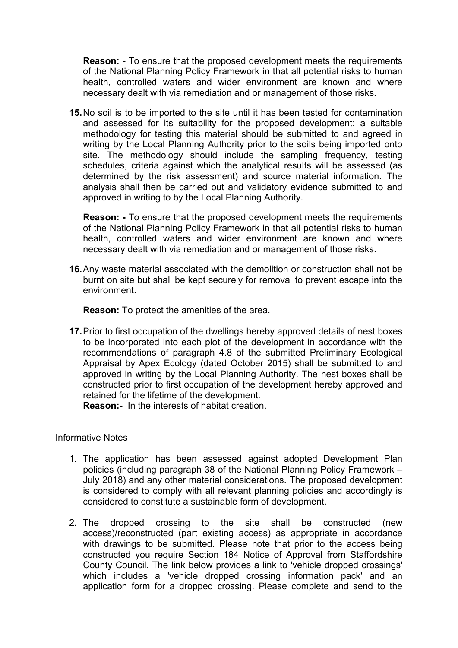**Reason: -** To ensure that the proposed development meets the requirements of the National Planning Policy Framework in that all potential risks to human health, controlled waters and wider environment are known and where necessary dealt with via remediation and or management of those risks.

**15.**No soil is to be imported to the site until it has been tested for contamination and assessed for its suitability for the proposed development; a suitable methodology for testing this material should be submitted to and agreed in writing by the Local Planning Authority prior to the soils being imported onto site. The methodology should include the sampling frequency, testing schedules, criteria against which the analytical results will be assessed (as determined by the risk assessment) and source material information. The analysis shall then be carried out and validatory evidence submitted to and approved in writing to by the Local Planning Authority.

**Reason: -** To ensure that the proposed development meets the requirements of the National Planning Policy Framework in that all potential risks to human health, controlled waters and wider environment are known and where necessary dealt with via remediation and or management of those risks.

**16.**Any waste material associated with the demolition or construction shall not be burnt on site but shall be kept securely for removal to prevent escape into the environment.

**Reason:** To protect the amenities of the area.

**17.**Prior to first occupation of the dwellings hereby approved details of nest boxes to be incorporated into each plot of the development in accordance with the recommendations of paragraph 4.8 of the submitted Preliminary Ecological Appraisal by Apex Ecology (dated October 2015) shall be submitted to and approved in writing by the Local Planning Authority. The nest boxes shall be constructed prior to first occupation of the development hereby approved and retained for the lifetime of the development.

**Reason:-** In the interests of habitat creation.

### Informative Notes

- 1. The application has been assessed against adopted Development Plan policies (including paragraph 38 of the National Planning Policy Framework – July 2018) and any other material considerations. The proposed development is considered to comply with all relevant planning policies and accordingly is considered to constitute a sustainable form of development.
- 2. The dropped crossing to the site shall be constructed (new access)/reconstructed (part existing access) as appropriate in accordance with drawings to be submitted. Please note that prior to the access being constructed you require Section 184 Notice of Approval from Staffordshire County Council. The link below provides a link to 'vehicle dropped crossings' which includes a 'vehicle dropped crossing information pack' and an application form for a dropped crossing. Please complete and send to the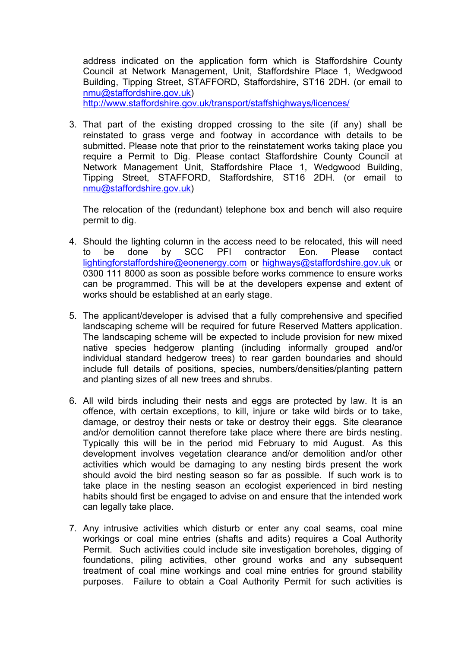address indicated on the application form which is Staffordshire County Council at Network Management, Unit, Staffordshire Place 1, Wedgwood Building, Tipping Street, STAFFORD, Staffordshire, ST16 2DH. (or email to [nmu@staffordshire.gov.uk](mailto:nmu@staffordshire.gov.uk))

<http://www.staffordshire.gov.uk/transport/staffshighways/licences/>

3. That part of the existing dropped crossing to the site (if any) shall be reinstated to grass verge and footway in accordance with details to be submitted. Please note that prior to the reinstatement works taking place you require a Permit to Dig. Please contact Staffordshire County Council at Network Management Unit, Staffordshire Place 1, Wedgwood Building, Tipping Street, STAFFORD, Staffordshire, ST16 2DH. (or email to [nmu@staffordshire.gov.uk](mailto:nmu@staffordshire.gov.uk))

The relocation of the (redundant) telephone box and bench will also require permit to dig.

- 4. Should the lighting column in the access need to be relocated, this will need to be done by SCC PFI contractor Eon. Please contact [lightingforstaffordshire@eonenergy.com](mailto:lightingforstaffordshire@eonenergy.com) or [highways@staffordshire.gov.uk](mailto:highways@staffordshire.gov.uk) or 0300 111 8000 as soon as possible before works commence to ensure works can be programmed. This will be at the developers expense and extent of works should be established at an early stage.
- 5. The applicant/developer is advised that a fully comprehensive and specified landscaping scheme will be required for future Reserved Matters application. The landscaping scheme will be expected to include provision for new mixed native species hedgerow planting (including informally grouped and/or individual standard hedgerow trees) to rear garden boundaries and should include full details of positions, species, numbers/densities/planting pattern and planting sizes of all new trees and shrubs.
- 6. All wild birds including their nests and eggs are protected by law. It is an offence, with certain exceptions, to kill, injure or take wild birds or to take, damage, or destroy their nests or take or destroy their eggs. Site clearance and/or demolition cannot therefore take place where there are birds nesting. Typically this will be in the period mid February to mid August. As this development involves vegetation clearance and/or demolition and/or other activities which would be damaging to any nesting birds present the work should avoid the bird nesting season so far as possible. If such work is to take place in the nesting season an ecologist experienced in bird nesting habits should first be engaged to advise on and ensure that the intended work can legally take place.
- 7. Any intrusive activities which disturb or enter any coal seams, coal mine workings or coal mine entries (shafts and adits) requires a Coal Authority Permit. Such activities could include site investigation boreholes, digging of foundations, piling activities, other ground works and any subsequent treatment of coal mine workings and coal mine entries for ground stability purposes. Failure to obtain a Coal Authority Permit for such activities is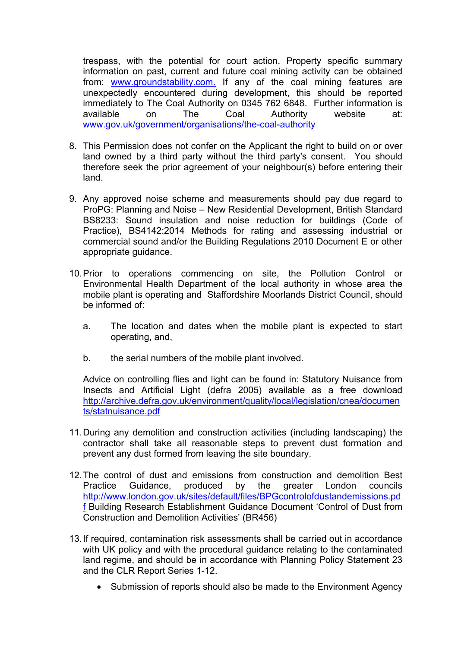trespass, with the potential for court action. Property specific summary information on past, current and future coal mining activity can be obtained from: [www.groundstability.com.](http://www.groundstability.com/) If any of the coal mining features are unexpectedly encountered during development, this should be reported immediately to The Coal Authority on 0345 762 6848. Further information is available on The Coal Authority website at: [www.gov.uk/government/organisations/the-coal-authority](http://www.gov.uk/government/organisations/the-coal-authority)

- 8. This Permission does not confer on the Applicant the right to build on or over land owned by a third party without the third party's consent. You should therefore seek the prior agreement of your neighbour(s) before entering their land.
- 9. Any approved noise scheme and measurements should pay due regard to ProPG: Planning and Noise – New Residential Development, British Standard BS8233: Sound insulation and noise reduction for buildings (Code of Practice), BS4142:2014 Methods for rating and assessing industrial or commercial sound and/or the Building Regulations 2010 Document E or other appropriate guidance.
- 10.Prior to operations commencing on site, the Pollution Control or Environmental Health Department of the local authority in whose area the mobile plant is operating and Staffordshire Moorlands District Council, should be informed of:
	- a. The location and dates when the mobile plant is expected to start operating, and,
	- b. the serial numbers of the mobile plant involved.

Advice on controlling flies and light can be found in: Statutory Nuisance from Insects and Artificial Light (defra 2005) available as a free download [http://archive.defra.gov.uk/environment/quality/local/legislation/cnea/documen](http://archive.defra.gov.uk/environment/quality/local/legislation/cnea/documents/statnuisance.pdf) [ts/statnuisance.pdf](http://archive.defra.gov.uk/environment/quality/local/legislation/cnea/documents/statnuisance.pdf)

- 11.During any demolition and construction activities (including landscaping) the contractor shall take all reasonable steps to prevent dust formation and prevent any dust formed from leaving the site boundary.
- 12.The control of dust and emissions from construction and demolition Best Practice Guidance, produced by the greater London councils [http://www.london.gov.uk/sites/default/files/BPGcontrolofdustandemissions.pd](http://www.london.gov.uk/sites/default/files/BPGcontrolofdustandemissions.pdf) [f](http://www.london.gov.uk/sites/default/files/BPGcontrolofdustandemissions.pdf) Building Research Establishment Guidance Document 'Control of Dust from Construction and Demolition Activities' (BR456)
- 13.If required, contamination risk assessments shall be carried out in accordance with UK policy and with the procedural guidance relating to the contaminated land regime, and should be in accordance with Planning Policy Statement 23 and the CLR Report Series 1-12.
	- Submission of reports should also be made to the Environment Agency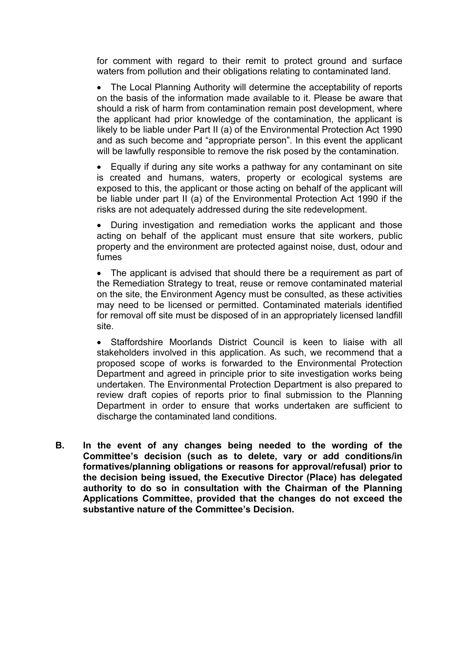for comment with regard to their remit to protect ground and surface waters from pollution and their obligations relating to contaminated land.

• The Local Planning Authority will determine the acceptability of reports on the basis of the information made available to it. Please be aware that should a risk of harm from contamination remain post development, where the applicant had prior knowledge of the contamination, the applicant is likely to be liable under Part II (a) of the Environmental Protection Act 1990 and as such become and "appropriate person". In this event the applicant will be lawfully responsible to remove the risk posed by the contamination.

 Equally if during any site works a pathway for any contaminant on site is created and humans, waters, property or ecological systems are exposed to this, the applicant or those acting on behalf of the applicant will be liable under part II (a) of the Environmental Protection Act 1990 if the risks are not adequately addressed during the site redevelopment.

 During investigation and remediation works the applicant and those acting on behalf of the applicant must ensure that site workers, public property and the environment are protected against noise, dust, odour and fumes

• The applicant is advised that should there be a requirement as part of the Remediation Strategy to treat, reuse or remove contaminated material on the site, the Environment Agency must be consulted, as these activities may need to be licensed or permitted. Contaminated materials identified for removal off site must be disposed of in an appropriately licensed landfill site.

 Staffordshire Moorlands District Council is keen to liaise with all stakeholders involved in this application. As such, we recommend that a proposed scope of works is forwarded to the Environmental Protection Department and agreed in principle prior to site investigation works being undertaken. The Environmental Protection Department is also prepared to review draft copies of reports prior to final submission to the Planning Department in order to ensure that works undertaken are sufficient to discharge the contaminated land conditions.

**B. In the event of any changes being needed to the wording of the Committee's decision (such as to delete, vary or add conditions/in formatives/planning obligations or reasons for approval/refusal) prior to the decision being issued, the Executive Director (Place) has delegated authority to do so in consultation with the Chairman of the Planning Applications Committee, provided that the changes do not exceed the substantive nature of the Committee's Decision.**